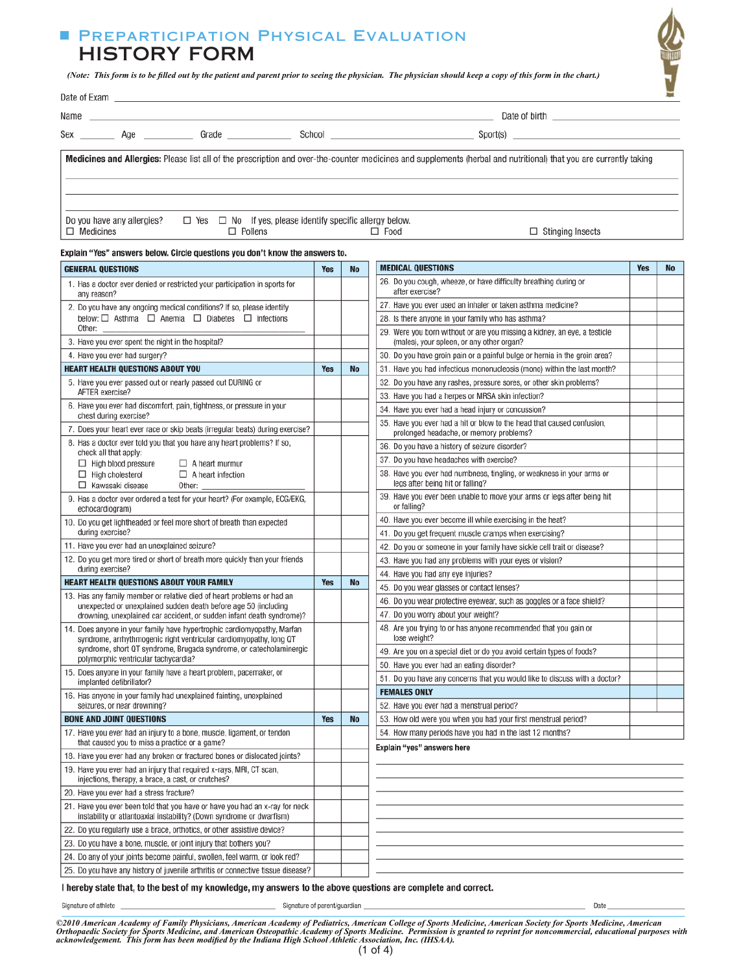# PREPARTICIPATION PHYSICAL EVALUATION HISTORY FORM

(Note: This form is to be filled out by the patient and parent prior to seeing the physician. The physician should keep a copy of this form in the chart.)

|  |                                                                                                       | Medicines and Allergies: Please list all of the prescription and over-the-counter medicines and supplements (herbal and nutritional) that you are currently taking |
|--|-------------------------------------------------------------------------------------------------------|--------------------------------------------------------------------------------------------------------------------------------------------------------------------|
|  | Do you have any allergies? $\square$ Yes $\square$ No If yes, please identify specific allergy below. |                                                                                                                                                                    |

 $\overline{\Box}$  Food

 $\Box$  Stinging Insects

Date

| Explain "Yes" answers below. Circle questions you don't know the answers to. |  |
|------------------------------------------------------------------------------|--|
|                                                                              |  |

 $\Box$  Pollens

 $\Box$  Medicines

| <b>GENERAL QUESTIONS</b>                                                                                                                            |            | No        | <b>MEDICAL QUESTIONS</b>                                                                                               | <b>Yes</b> | <b>No</b> |
|-----------------------------------------------------------------------------------------------------------------------------------------------------|------------|-----------|------------------------------------------------------------------------------------------------------------------------|------------|-----------|
| 1. Has a doctor ever denied or restricted your participation in sports for<br>any reason?                                                           |            |           | 26. Do you cough, wheeze, or have difficulty breathing during or<br>after exercise?                                    |            |           |
| 2. Do you have any ongoing medical conditions? If so, please identify                                                                               |            |           | 27. Have you ever used an inhaler or taken asthma medicine?                                                            |            |           |
| below: $\Box$ Asthma $\Box$ Anemia $\Box$ Diabetes $\Box$ Infections                                                                                |            |           | 28. Is there anyone in your family who has asthma?                                                                     |            |           |
| Other:<br>3. Have you ever spent the night in the hospital?                                                                                         |            |           | 29. Were you born without or are you missing a kidney, an eye, a testicle<br>(males), your spleen, or any other organ? |            |           |
| 4. Have you ever had surgery?                                                                                                                       |            |           | 30. Do you have groin pain or a painful bulge or hernia in the groin area?                                             |            |           |
| <b>HEART HEALTH QUESTIONS ABOUT YOU</b>                                                                                                             | <b>Yes</b> | <b>No</b> | 31. Have you had infectious mononucleosis (mono) within the last month?                                                |            |           |
| 5. Have you ever passed out or nearly passed out DURING or                                                                                          |            |           | 32. Do you have any rashes, pressure sores, or other skin problems?                                                    |            |           |
| AFTER exercise?                                                                                                                                     |            |           | 33. Have you had a herpes or MRSA skin infection?                                                                      |            |           |
| 6. Have you ever had discomfort, pain, tightness, or pressure in your<br>chest during exercise?                                                     |            |           | 34. Have you ever had a head injury or concussion?                                                                     |            |           |
| 7. Does your heart ever race or skip beats (irregular beats) during exercise?                                                                       |            |           | 35. Have you ever had a hit or blow to the head that caused confusion.<br>prolonged headache, or memory problems?      |            |           |
| 8. Has a doctor ever told you that you have any heart problems? If so,                                                                              |            |           | 36. Do you have a history of seizure disorder?                                                                         |            |           |
| check all that apply:                                                                                                                               |            |           | 37. Do you have headaches with exercise?                                                                               |            |           |
| $\Box$ High blood pressure<br>$\Box$ A heart murmur<br>$\Box$ High cholesterol<br>$\Box$ A heart infection<br>□ Kawasaki disease<br>Other:          |            |           | 38. Have you ever had numbness, tingling, or weakness in your arms or<br>legs after being hit or falling?              |            |           |
| 9. Has a doctor ever ordered a test for your heart? (For example, ECG/EKG,<br>echocardiogram)                                                       |            |           | 39. Have you ever been unable to move your arms or legs after being hit<br>or falling?                                 |            |           |
| 10. Do you get lightheaded or feel more short of breath than expected                                                                               |            |           | 40. Have you ever become ill while exercising in the heat?                                                             |            |           |
| during exercise?                                                                                                                                    |            |           | 41. Do you get frequent muscle cramps when exercising?                                                                 |            |           |
| 11. Have you ever had an unexplained seizure?                                                                                                       |            |           | 42. Do you or someone in your family have sickle cell trait or disease?                                                |            |           |
| 12. Do you get more tired or short of breath more quickly than your friends                                                                         |            |           | 43. Have you had any problems with your eyes or vision?                                                                |            |           |
| during exercise?<br><b>HEART HEALTH QUESTIONS ABOUT YOUR FAMILY</b>                                                                                 | <b>Yes</b> | <b>No</b> | 44. Have you had any eye injuries?                                                                                     |            |           |
| 13. Has any family member or relative died of heart problems or had an                                                                              |            |           | 45. Do you wear glasses or contact lenses?                                                                             |            |           |
| unexpected or unexplained sudden death before age 50 (including                                                                                     |            |           | 46. Do you wear protective eyewear, such as goggles or a face shield?                                                  |            |           |
| drowning, unexplained car accident, or sudden infant death syndrome)?<br>14. Does anyone in your family have hypertrophic cardiomyopathy, Marfan    |            |           | 47. Do you worry about your weight?<br>48. Are you trying to or has anyone recommended that you gain or                |            |           |
| syndrome, arrhythmogenic right ventricular cardiomyopathy, long QT                                                                                  |            |           | lose weight?                                                                                                           |            |           |
| syndrome, short QT syndrome, Brugada syndrome, or catecholaminergic<br>polymorphic ventricular tachycardia?                                         |            |           | 49. Are you on a special diet or do you avoid certain types of foods?                                                  |            |           |
| 15. Does anyone in your family have a heart problem, pacemaker, or                                                                                  |            |           | 50. Have you ever had an eating disorder?                                                                              |            |           |
| implanted defibrillator?                                                                                                                            |            |           | 51. Do you have any concerns that you would like to discuss with a doctor?                                             |            |           |
| 16. Has anyone in your family had unexplained fainting, unexplained                                                                                 |            |           | <b>FEMALES ONLY</b>                                                                                                    |            |           |
| seizures, or near drowning?                                                                                                                         |            |           | 52. Have you ever had a menstrual period?                                                                              |            |           |
| <b>BONE AND JOINT QUESTIONS</b>                                                                                                                     | <b>Yes</b> | <b>No</b> | 53. How old were you when you had your first menstrual period?                                                         |            |           |
| 17. Have you ever had an injury to a bone, muscle, ligament, or tendon<br>that caused you to miss a practice or a game?                             |            |           | 54. How many periods have you had in the last 12 months?<br>Explain "yes" answers here                                 |            |           |
| 18. Have you ever had any broken or fractured bones or dislocated joints?                                                                           |            |           |                                                                                                                        |            |           |
| 19. Have you ever had an injury that required x-rays, MRI, CT scan,<br>injections, therapy, a brace, a cast, or crutches?                           |            |           |                                                                                                                        |            |           |
| 20. Have you ever had a stress fracture?                                                                                                            |            |           |                                                                                                                        |            |           |
| 21. Have you ever been told that you have or have you had an x-ray for neck<br>instability or atlantoaxial instability? (Down syndrome or dwarfism) |            |           |                                                                                                                        |            |           |
| 22. Do you regularly use a brace, orthotics, or other assistive device?                                                                             |            |           |                                                                                                                        |            |           |
| 23. Do you have a bone, muscle, or joint injury that bothers you?                                                                                   |            |           |                                                                                                                        |            |           |
| 24. Do any of your joints become painful, swollen, feel warm, or look red?                                                                          |            |           |                                                                                                                        |            |           |
| 25. Do you have any history of juvenile arthritis or connective tissue disease?                                                                     |            |           |                                                                                                                        |            |           |

I hereby state that, to the best of my knowledge, my answers to the above questions are complete and correct.

Signature of athlete

Signature of parent/guardian

©2010 American Academy of Family Physicians, American Academy of Pediatrics, American College of Sports Medicine, American Society for Sports Medicine, American<br>Orthopaedic Society for Sports Medicine, and American Osteopa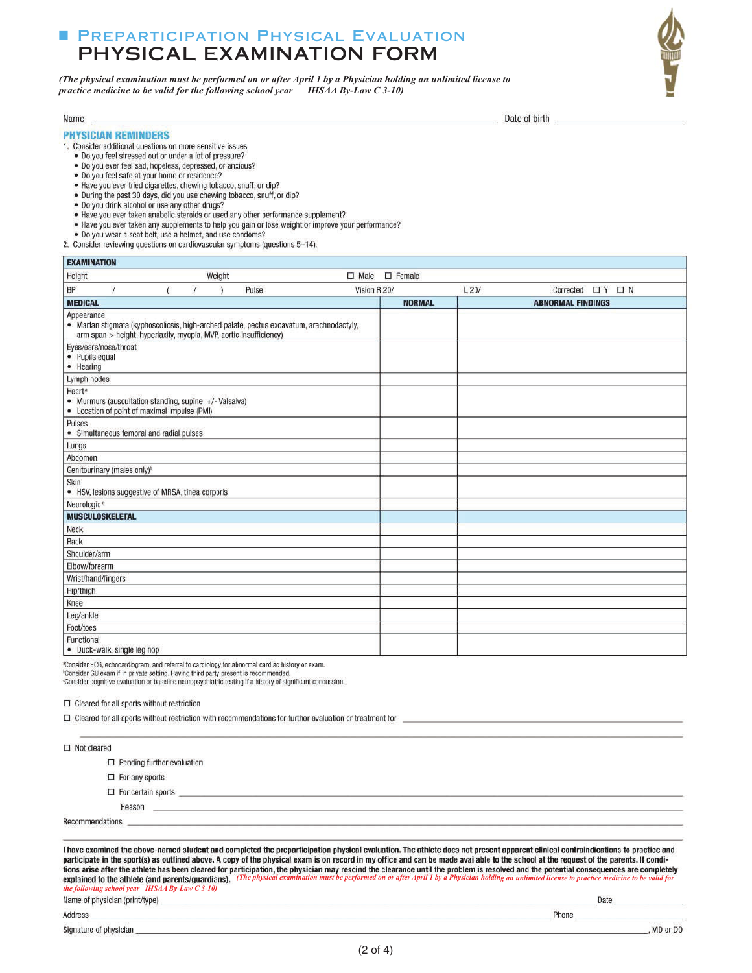# **E PREPARTICIPATION PHYSICAL EVALUATION** PHYSICAL EXAMINATION FORM

(The physical examination must be performed on or after April 1 by a Physician holding an unlimited license to practice medicine to be valid for the following school year  $-$  IHSAA By-Law C 3-10)



Date of birth

#### **PHYSICIAN REMINDERS**

EVAMINATION

Name

1. Consider additional questions on more sensitive issues

- . Do you feel stressed out or under a lot of pressure?
- · Do you ever feel sad, hopeless, depressed, or anxious?
- . Do you feel safe at your home or residence?
- . Have you ever tried cigarettes, chewing tobacco, snuff, or dip?
- . During the past 30 days, did you use chewing tobacco, snuff, or dip?
- . Do you drink alcohol or use any other drugs?
- . Have you ever taken anabolic steroids or used any other performance supplement?
- . Have you ever taken any supplements to help you gain or lose weight or improve your performance?
- . Do you wear a seat belt, use a helmet, and use condoms?
- 2. Consider reviewing questions on cardiovascular symptoms (questions 5-14).

|                    | EAAMINAIIUN                                                                                             |  |        |       |                                                                                          |              |               |      |                             |
|--------------------|---------------------------------------------------------------------------------------------------------|--|--------|-------|------------------------------------------------------------------------------------------|--------------|---------------|------|-----------------------------|
| Height             |                                                                                                         |  | Weight |       | $\Box$ Male                                                                              |              | $\Box$ Female |      |                             |
| BP                 |                                                                                                         |  |        | Pulse |                                                                                          | Vision R 20/ |               | L20/ | Corrected $\Box$ Y $\Box$ N |
| <b>MEDICAL</b>     |                                                                                                         |  |        |       |                                                                                          |              | <b>NORMAL</b> |      | <b>ABNORMAL FINDINGS</b>    |
|                    | Appearance<br>arm span > height, hyperlaxity, myopia, MVP, aortic insufficiency)                        |  |        |       | · Marfan stigmata (kyphoscoliosis, high-arched palate, pectus excavatum, arachnodactyly, |              |               |      |                             |
| • Hearing          | Eyes/ears/nose/throat<br>· Pupils equal                                                                 |  |        |       |                                                                                          |              |               |      |                             |
|                    | Lymph nodes                                                                                             |  |        |       |                                                                                          |              |               |      |                             |
| Heart <sup>®</sup> | • Murmurs (auscultation standing, supine, +/- Valsalva)<br>• Location of point of maximal impulse (PMI) |  |        |       |                                                                                          |              |               |      |                             |
| Pulses             | • Simultaneous femoral and radial pulses                                                                |  |        |       |                                                                                          |              |               |      |                             |
| Lungs              |                                                                                                         |  |        |       |                                                                                          |              |               |      |                             |
| Abdomen            |                                                                                                         |  |        |       |                                                                                          |              |               |      |                             |
|                    | Genitourinary (males only) <sup>b</sup>                                                                 |  |        |       |                                                                                          |              |               |      |                             |
| Skin               | • HSV, lesions suggestive of MRSA, tinea corporis                                                       |  |        |       |                                                                                          |              |               |      |                             |
|                    | Neurologic <sup>e</sup>                                                                                 |  |        |       |                                                                                          |              |               |      |                             |
|                    | <b>MUSCULOSKELETAL</b>                                                                                  |  |        |       |                                                                                          |              |               |      |                             |
| Neck               |                                                                                                         |  |        |       |                                                                                          |              |               |      |                             |
| Back               |                                                                                                         |  |        |       |                                                                                          |              |               |      |                             |
|                    | Shoulder/arm                                                                                            |  |        |       |                                                                                          |              |               |      |                             |
|                    | Elbow/forearm                                                                                           |  |        |       |                                                                                          |              |               |      |                             |
|                    | Wrist/hand/fingers                                                                                      |  |        |       |                                                                                          |              |               |      |                             |
| Hip/thigh          |                                                                                                         |  |        |       |                                                                                          |              |               |      |                             |
| Knee               |                                                                                                         |  |        |       |                                                                                          |              |               |      |                             |
| Leg/ankle          |                                                                                                         |  |        |       |                                                                                          |              |               |      |                             |
| Foot/toes          |                                                                                                         |  |        |       |                                                                                          |              |               |      |                             |
| Functional         | · Duck-walk, single leg hop                                                                             |  |        |       |                                                                                          |              |               |      |                             |

\*Consider ECG, echocardiogram, and referral to cardiology for abnormal cardiac history or exam.

<sup>8</sup>Consider GU exam if in private setting. Having third party present is recommended.<br><sup>«</sup>Consider cognitive evaluation or baseline neuropsychiatric testing if a history of significant concussion.

 $\Box$  Cleared for all sports without restriction

□ Cleared for all sports without restriction with recommendations for further evaluation or treatment for

| $\Box$ Not cleared |                                                                                                                                                                                                                                                                                                                                                                                                                                                                                                                                                                                                                                                                                                                                                                                                                              |       |
|--------------------|------------------------------------------------------------------------------------------------------------------------------------------------------------------------------------------------------------------------------------------------------------------------------------------------------------------------------------------------------------------------------------------------------------------------------------------------------------------------------------------------------------------------------------------------------------------------------------------------------------------------------------------------------------------------------------------------------------------------------------------------------------------------------------------------------------------------------|-------|
|                    | $\Box$ Pending further evaluation                                                                                                                                                                                                                                                                                                                                                                                                                                                                                                                                                                                                                                                                                                                                                                                            |       |
|                    | $\Box$ For any sports                                                                                                                                                                                                                                                                                                                                                                                                                                                                                                                                                                                                                                                                                                                                                                                                        |       |
|                    | $\Box$ For certain sports                                                                                                                                                                                                                                                                                                                                                                                                                                                                                                                                                                                                                                                                                                                                                                                                    |       |
|                    | Reason                                                                                                                                                                                                                                                                                                                                                                                                                                                                                                                                                                                                                                                                                                                                                                                                                       |       |
| Recommendations    |                                                                                                                                                                                                                                                                                                                                                                                                                                                                                                                                                                                                                                                                                                                                                                                                                              |       |
|                    | I have examined the above-named student and completed the preparticipation physical evaluation. The athlete does not present apparent clinical contraindications to practice and<br>participate in the sport(s) as outlined above. A copy of the physical exam is on record in my office and can be made available to the school at the request of the parents. If condi-<br>tions arise after the athlete has been cleared for participation, the physician may rescind the clearance until the problem is resolved and the potential consequences are completely<br>explained to the athlete (and parents/guardians). (The physical examination must be performed on or after April 1 by a Physician holding an unlimited license to practice medicine to be valid for<br>the following school year-IHSAA By-Law $C$ 3-10) |       |
|                    | Name of physician (print/type)                                                                                                                                                                                                                                                                                                                                                                                                                                                                                                                                                                                                                                                                                                                                                                                               | Date  |
| Address            |                                                                                                                                                                                                                                                                                                                                                                                                                                                                                                                                                                                                                                                                                                                                                                                                                              | Phone |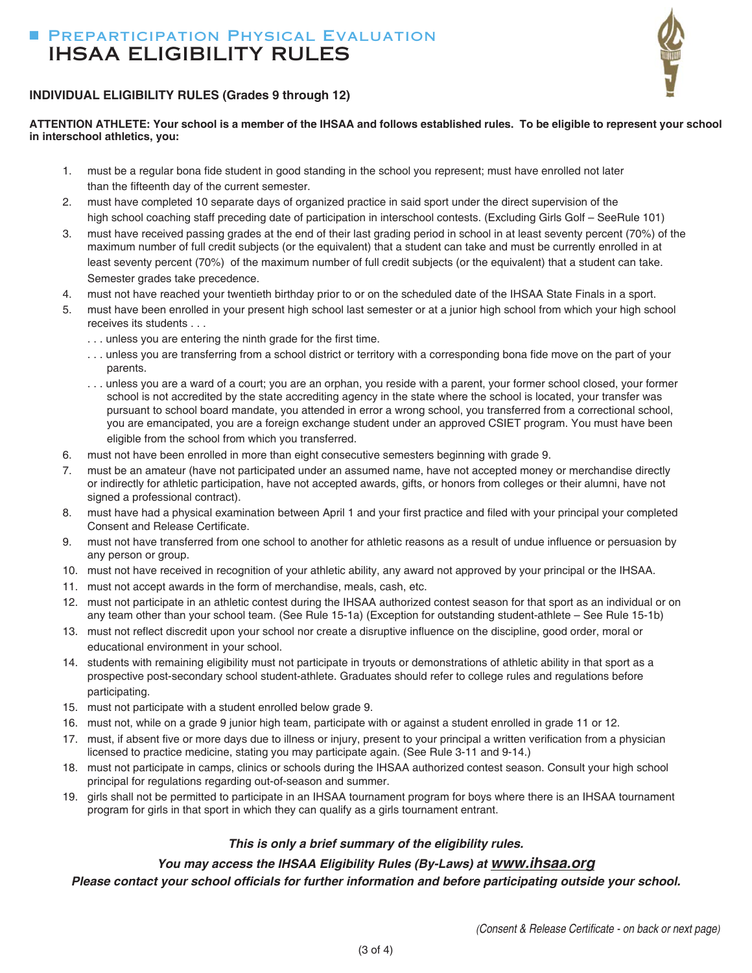# PREPARTICIPATION PHYSICAL EVALUATION IHSAA ELIGIBILITY RULES



### **INDIVIDUAL ELIGIBILITY RULES (Grades 9 through 12)**

**ATTENTION ATHLETE: Your school is a member of the IHSAA and follows established rules. To be eligible to represent your school in interschool athletics, you:**

- 1. must be a regular bona fide student in good standing in the school you represent; must have enrolled not later than the fifteenth day of the current semester.
- 2. must have completed 10 separate days of organized practice in said sport under the direct supervision of the high school coaching staff preceding date of participation in interschool contests. (Excluding Girls Golf – SeeRule 101)
- 3. must have received passing grades at the end of their last grading period in school in at least seventy percent (70%) of the maximum number of full credit subjects (or the equivalent) that a student can take and must be currently enrolled in at least seventy percent (70%) of the maximum number of full credit subjects (or the equivalent) that a student can take. Semester grades take precedence.
- 4. must not have reached your twentieth birthday prior to or on the scheduled date of the IHSAA State Finals in a sport.
- 5. must have been enrolled in your present high school last semester or at a junior high school from which your high school receives its students . . .
	- . . . unless you are entering the ninth grade for the first time.
	- ... unless you are transferring from a school district or territory with a corresponding bona fide move on the part of your parents.
	- . . . unless you are a ward of a court; you are an orphan, you reside with a parent, your former school closed, your former school is not accredited by the state accrediting agency in the state where the school is located, your transfer was pursuant to school board mandate, you attended in error a wrong school, you transferred from a correctional school, you are emancipated, you are a foreign exchange student under an approved CSIET program. You must have been eligible from the school from which you transferred.
- 6. must not have been enrolled in more than eight consecutive semesters beginning with grade 9.
- 7. must be an amateur (have not participated under an assumed name, have not accepted money or merchandise directly or indirectly for athletic participation, have not accepted awards, gifts, or honors from colleges or their alumni, have not signed a professional contract).
- 8. must have had a physical examination between April 1 and your first practice and filed with your principal your completed Consent and Release Certificate.
- 9. must not have transferred from one school to another for athletic reasons as a result of undue influence or persuasion by any person or group.
- 10. must not have received in recognition of your athletic ability, any award not approved by your principal or the IHSAA.
- 11. must not accept awards in the form of merchandise, meals, cash, etc.
- 12. must not participate in an athletic contest during the IHSAA authorized contest season for that sport as an individual or on any team other than your school team. (See Rule 15-1a) (Exception for outstanding student-athlete – See Rule 15-1b)
- 13. must not reflect discredit upon your school nor create a disruptive influence on the discipline, good order, moral or educational environment in your school.
- 14. students with remaining eligibility must not participate in tryouts or demonstrations of athletic ability in that sport as a prospective post-secondary school student-athlete. Graduates should refer to college rules and regulations before participating.
- 15. must not participate with a student enrolled below grade 9.
- 16. must not, while on a grade 9 junior high team, participate with or against a student enrolled in grade 11 or 12.
- 17. must, if absent five or more days due to illness or injury, present to your principal a written verification from a physician licensed to practice medicine, stating you may participate again. (See Rule 3-11 and 9-14.)
- 18. must not participate in camps, clinics or schools during the IHSAA authorized contest season. Consult your high school principal for regulations regarding out-of-season and summer.
- 19. girls shall not be permitted to participate in an IHSAA tournament program for boys where there is an IHSAA tournament program for girls in that sport in which they can qualify as a girls tournament entrant.

### *This is only a brief summary of the eligibility rules.*

## *You may access the IHSAA Eligibility Rules (By-Laws) at www.ihsaa.org*

*Please contact your school of***Þ***cials for further information and before participating outside your school.*